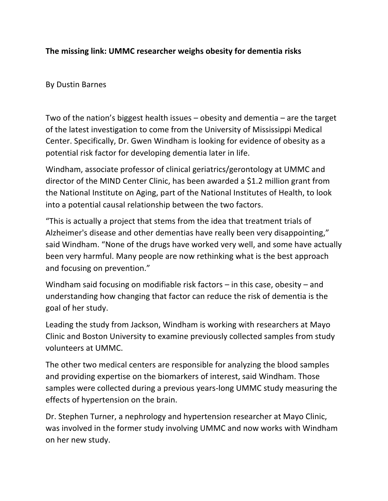## **The missing link: UMMC researcher weighs obesity for dementia risks**

## By Dustin Barnes

Two of the nation's biggest health issues – obesity and dementia – are the target of the latest investigation to come from the University of Mississippi Medical Center. Specifically, Dr. Gwen Windham is looking for evidence of obesity as a potential risk factor for developing dementia later in life.

Windham, associate professor of clinical geriatrics/gerontology at UMMC and director of the MIND Center Clinic, has been awarded a \$1.2 million grant from the National Institute on Aging, part of the National Institutes of Health, to look into a potential causal relationship between the two factors.

"This is actually a project that stems from the idea that treatment trials of Alzheimer's disease and other dementias have really been very disappointing," said Windham. "None of the drugs have worked very well, and some have actually been very harmful. Many people are now rethinking what is the best approach and focusing on prevention."

Windham said focusing on modifiable risk factors – in this case, obesity – and understanding how changing that factor can reduce the risk of dementia is the goal of her study.

Leading the study from Jackson, Windham is working with researchers at Mayo Clinic and Boston University to examine previously collected samples from study volunteers at UMMC.

The other two medical centers are responsible for analyzing the blood samples and providing expertise on the biomarkers of interest, said Windham. Those samples were collected during a previous years‐long UMMC study measuring the effects of hypertension on the brain.

Dr. Stephen Turner, a nephrology and hypertension researcher at Mayo Clinic, was involved in the former study involving UMMC and now works with Windham on her new study.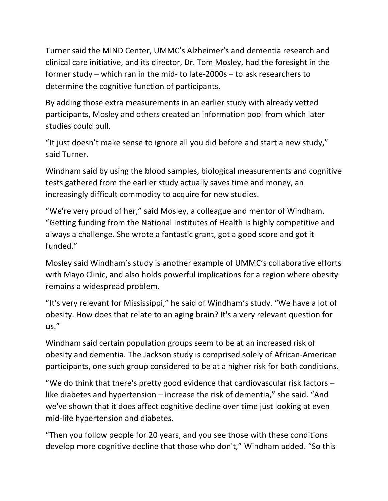Turner said the MIND Center, UMMC's Alzheimer's and dementia research and clinical care initiative, and its director, Dr. Tom Mosley, had the foresight in the former study – which ran in the mid‐ to late‐2000s – to ask researchers to determine the cognitive function of participants.

By adding those extra measurements in an earlier study with already vetted participants, Mosley and others created an information pool from which later studies could pull.

"It just doesn't make sense to ignore all you did before and start a new study," said Turner.

Windham said by using the blood samples, biological measurements and cognitive tests gathered from the earlier study actually saves time and money, an increasingly difficult commodity to acquire for new studies.

"We're very proud of her," said Mosley, a colleague and mentor of Windham. "Getting funding from the National Institutes of Health is highly competitive and always a challenge. She wrote a fantastic grant, got a good score and got it funded."

Mosley said Windham's study is another example of UMMC's collaborative efforts with Mayo Clinic, and also holds powerful implications for a region where obesity remains a widespread problem.

"It's very relevant for Mississippi," he said of Windham's study. "We have a lot of obesity. How does that relate to an aging brain? It's a very relevant question for us."

Windham said certain population groups seem to be at an increased risk of obesity and dementia. The Jackson study is comprised solely of African‐American participants, one such group considered to be at a higher risk for both conditions.

"We do think that there's pretty good evidence that cardiovascular risk factors  $$ like diabetes and hypertension – increase the risk of dementia," she said. "And we've shown that it does affect cognitive decline over time just looking at even mid‐life hypertension and diabetes.

"Then you follow people for 20 years, and you see those with these conditions develop more cognitive decline that those who don't," Windham added. "So this